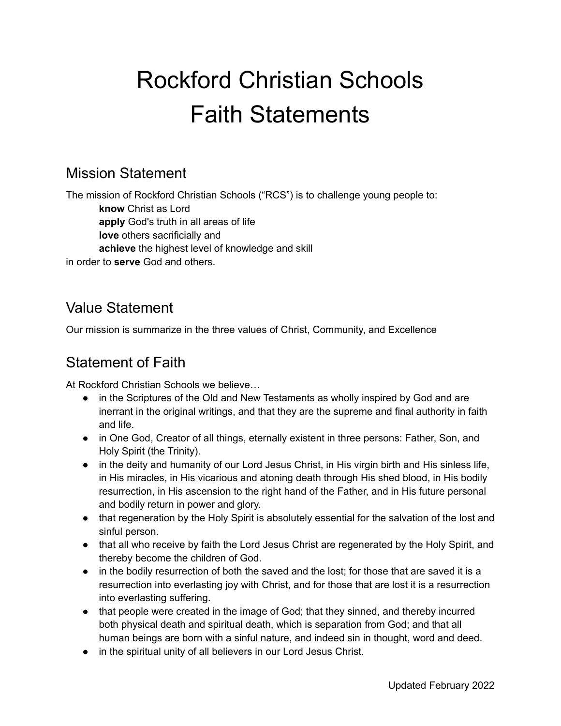# Rockford Christian Schools Faith Statements

#### Mission Statement

The mission of Rockford Christian Schools ("RCS") is to challenge young people to: **know** Christ as Lord **apply** God's truth in all areas of life **love** others sacrificially and **achieve** the highest level of knowledge and skill in order to **serve** God and others.

# Value Statement

Our mission is summarize in the three values of Christ, Community, and Excellence

#### Statement of Faith

At Rockford Christian Schools we believe…

- in the Scriptures of the Old and New Testaments as wholly inspired by God and are inerrant in the original writings, and that they are the supreme and final authority in faith and life.
- in One God, Creator of all things, eternally existent in three persons: Father, Son, and Holy Spirit (the Trinity).
- in the deity and humanity of our Lord Jesus Christ, in His virgin birth and His sinless life, in His miracles, in His vicarious and atoning death through His shed blood, in His bodily resurrection, in His ascension to the right hand of the Father, and in His future personal and bodily return in power and glory.
- that regeneration by the Holy Spirit is absolutely essential for the salvation of the lost and sinful person.
- that all who receive by faith the Lord Jesus Christ are regenerated by the Holy Spirit, and thereby become the children of God.
- in the bodily resurrection of both the saved and the lost; for those that are saved it is a resurrection into everlasting joy with Christ, and for those that are lost it is a resurrection into everlasting suffering.
- that people were created in the image of God; that they sinned, and thereby incurred both physical death and spiritual death, which is separation from God; and that all human beings are born with a sinful nature, and indeed sin in thought, word and deed.
- in the spiritual unity of all believers in our Lord Jesus Christ.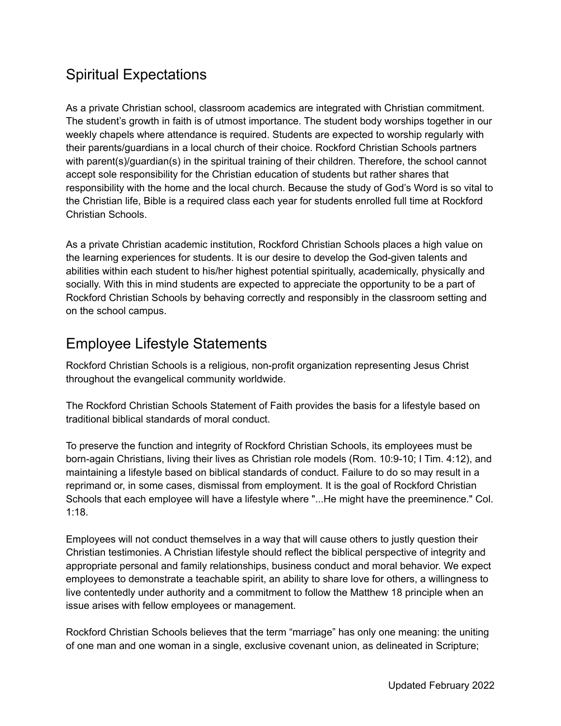# Spiritual Expectations

As a private Christian school, classroom academics are integrated with Christian commitment. The student's growth in faith is of utmost importance. The student body worships together in our weekly chapels where attendance is required. Students are expected to worship regularly with their parents/guardians in a local church of their choice. Rockford Christian Schools partners with parent(s)/guardian(s) in the spiritual training of their children. Therefore, the school cannot accept sole responsibility for the Christian education of students but rather shares that responsibility with the home and the local church. Because the study of God's Word is so vital to the Christian life, Bible is a required class each year for students enrolled full time at Rockford Christian Schools.

As a private Christian academic institution, Rockford Christian Schools places a high value on the learning experiences for students. It is our desire to develop the God-given talents and abilities within each student to his/her highest potential spiritually, academically, physically and socially. With this in mind students are expected to appreciate the opportunity to be a part of Rockford Christian Schools by behaving correctly and responsibly in the classroom setting and on the school campus.

# Employee Lifestyle Statements

Rockford Christian Schools is a religious, non-profit organization representing Jesus Christ throughout the evangelical community worldwide.

The Rockford Christian Schools Statement of Faith provides the basis for a lifestyle based on traditional biblical standards of moral conduct.

To preserve the function and integrity of Rockford Christian Schools, its employees must be born-again Christians, living their lives as Christian role models (Rom. 10:9-10; I Tim. 4:12), and maintaining a lifestyle based on biblical standards of conduct. Failure to do so may result in a reprimand or, in some cases, dismissal from employment. It is the goal of Rockford Christian Schools that each employee will have a lifestyle where "...He might have the preeminence." Col. 1:18.

Employees will not conduct themselves in a way that will cause others to justly question their Christian testimonies. A Christian lifestyle should reflect the biblical perspective of integrity and appropriate personal and family relationships, business conduct and moral behavior. We expect employees to demonstrate a teachable spirit, an ability to share love for others, a willingness to live contentedly under authority and a commitment to follow the Matthew 18 principle when an issue arises with fellow employees or management.

Rockford Christian Schools believes that the term "marriage" has only one meaning: the uniting of one man and one woman in a single, exclusive covenant union, as delineated in Scripture;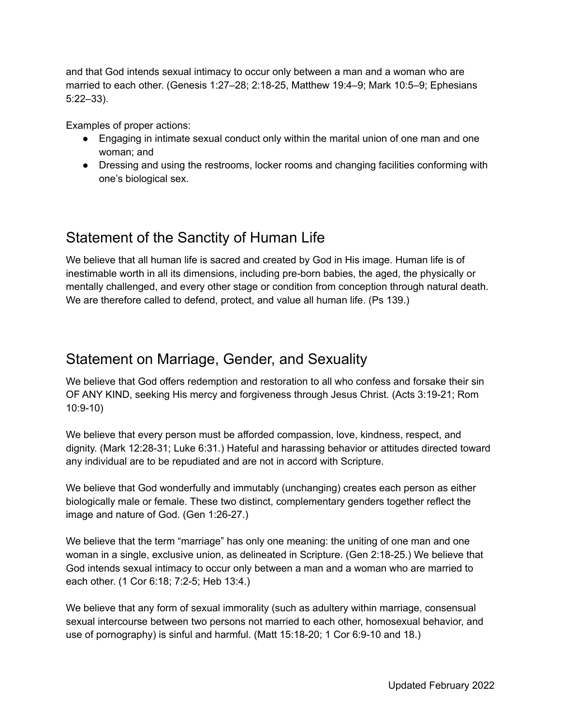and that God intends sexual intimacy to occur only between a man and a woman who are married to each other. (Genesis 1:27–28; 2:18-25, Matthew 19:4–9; Mark 10:5–9; Ephesians 5:22–33).

Examples of proper actions:

- Engaging in intimate sexual conduct only within the marital union of one man and one woman; and
- Dressing and using the restrooms, locker rooms and changing facilities conforming with one's biological sex.

#### Statement of the Sanctity of Human Life

We believe that all human life is sacred and created by God in His image. Human life is of inestimable worth in all its dimensions, including pre-born babies, the aged, the physically or mentally challenged, and every other stage or condition from conception through natural death. We are therefore called to defend, protect, and value all human life. (Ps 139.)

#### Statement on Marriage, Gender, and Sexuality

We believe that God offers redemption and restoration to all who confess and forsake their sin OF ANY KIND, seeking His mercy and forgiveness through Jesus Christ. (Acts 3:19-21; Rom 10:9-10)

We believe that every person must be afforded compassion, love, kindness, respect, and dignity. (Mark 12:28-31; Luke 6:31.) Hateful and harassing behavior or attitudes directed toward any individual are to be repudiated and are not in accord with Scripture.

We believe that God wonderfully and immutably (unchanging) creates each person as either biologically male or female. These two distinct, complementary genders together reflect the image and nature of God. (Gen 1:26-27.)

We believe that the term "marriage" has only one meaning: the uniting of one man and one woman in a single, exclusive union, as delineated in Scripture. (Gen 2:18-25.) We believe that God intends sexual intimacy to occur only between a man and a woman who are married to each other. (1 Cor 6:18; 7:2-5; Heb 13:4.)

We believe that any form of sexual immorality (such as adultery within marriage, consensual sexual intercourse between two persons not married to each other, homosexual behavior, and use of pornography) is sinful and harmful. (Matt 15:18-20; 1 Cor 6:9-10 and 18.)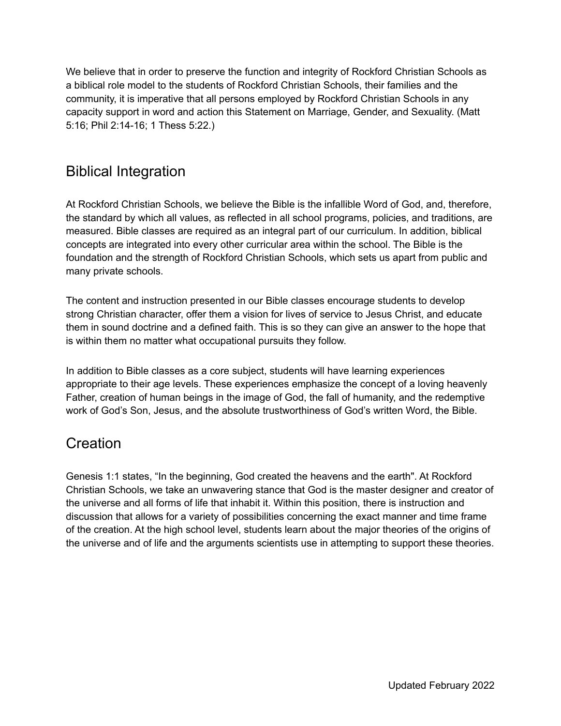We believe that in order to preserve the function and integrity of Rockford Christian Schools as a biblical role model to the students of Rockford Christian Schools, their families and the community, it is imperative that all persons employed by Rockford Christian Schools in any capacity support in word and action this Statement on Marriage, Gender, and Sexuality. (Matt 5:16; Phil 2:14-16; 1 Thess 5:22.)

#### Biblical Integration

At Rockford Christian Schools, we believe the Bible is the infallible Word of God, and, therefore, the standard by which all values, as reflected in all school programs, policies, and traditions, are measured. Bible classes are required as an integral part of our curriculum. In addition, biblical concepts are integrated into every other curricular area within the school. The Bible is the foundation and the strength of Rockford Christian Schools, which sets us apart from public and many private schools.

The content and instruction presented in our Bible classes encourage students to develop strong Christian character, offer them a vision for lives of service to Jesus Christ, and educate them in sound doctrine and a defined faith. This is so they can give an answer to the hope that is within them no matter what occupational pursuits they follow.

In addition to Bible classes as a core subject, students will have learning experiences appropriate to their age levels. These experiences emphasize the concept of a loving heavenly Father, creation of human beings in the image of God, the fall of humanity, and the redemptive work of God's Son, Jesus, and the absolute trustworthiness of God's written Word, the Bible.

#### **Creation**

Genesis 1:1 states, "In the beginning, God created the heavens and the earth". At Rockford Christian Schools, we take an unwavering stance that God is the master designer and creator of the universe and all forms of life that inhabit it. Within this position, there is instruction and discussion that allows for a variety of possibilities concerning the exact manner and time frame of the creation. At the high school level, students learn about the major theories of the origins of the universe and of life and the arguments scientists use in attempting to support these theories.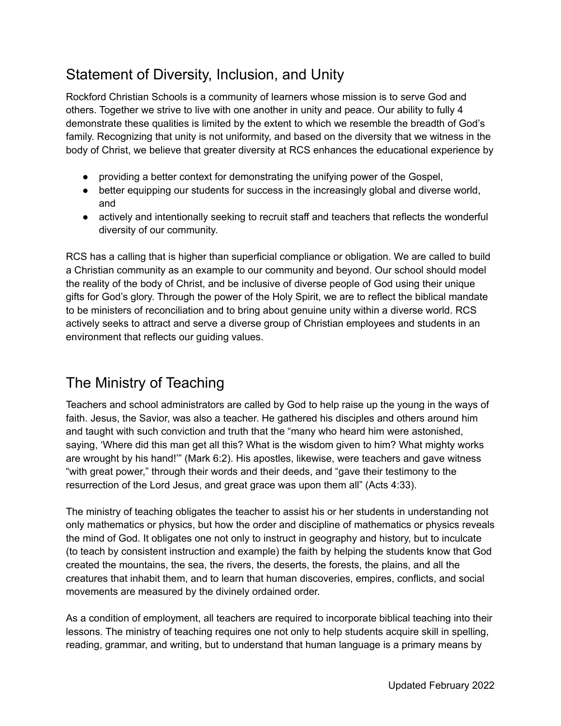# Statement of Diversity, Inclusion, and Unity

Rockford Christian Schools is a community of learners whose mission is to serve God and others. Together we strive to live with one another in unity and peace. Our ability to fully 4 demonstrate these qualities is limited by the extent to which we resemble the breadth of God's family. Recognizing that unity is not uniformity, and based on the diversity that we witness in the body of Christ, we believe that greater diversity at RCS enhances the educational experience by

- providing a better context for demonstrating the unifying power of the Gospel,
- better equipping our students for success in the increasingly global and diverse world, and
- actively and intentionally seeking to recruit staff and teachers that reflects the wonderful diversity of our community.

RCS has a calling that is higher than superficial compliance or obligation. We are called to build a Christian community as an example to our community and beyond. Our school should model the reality of the body of Christ, and be inclusive of diverse people of God using their unique gifts for God's glory. Through the power of the Holy Spirit, we are to reflect the biblical mandate to be ministers of reconciliation and to bring about genuine unity within a diverse world. RCS actively seeks to attract and serve a diverse group of Christian employees and students in an environment that reflects our guiding values.

# The Ministry of Teaching

Teachers and school administrators are called by God to help raise up the young in the ways of faith. Jesus, the Savior, was also a teacher. He gathered his disciples and others around him and taught with such conviction and truth that the "many who heard him were astonished, saying, 'Where did this man get all this? What is the wisdom given to him? What mighty works are wrought by his hand!'" (Mark 6:2). His apostles, likewise, were teachers and gave witness "with great power," through their words and their deeds, and "gave their testimony to the resurrection of the Lord Jesus, and great grace was upon them all" (Acts 4:33).

The ministry of teaching obligates the teacher to assist his or her students in understanding not only mathematics or physics, but how the order and discipline of mathematics or physics reveals the mind of God. It obligates one not only to instruct in geography and history, but to inculcate (to teach by consistent instruction and example) the faith by helping the students know that God created the mountains, the sea, the rivers, the deserts, the forests, the plains, and all the creatures that inhabit them, and to learn that human discoveries, empires, conflicts, and social movements are measured by the divinely ordained order.

As a condition of employment, all teachers are required to incorporate biblical teaching into their lessons. The ministry of teaching requires one not only to help students acquire skill in spelling, reading, grammar, and writing, but to understand that human language is a primary means by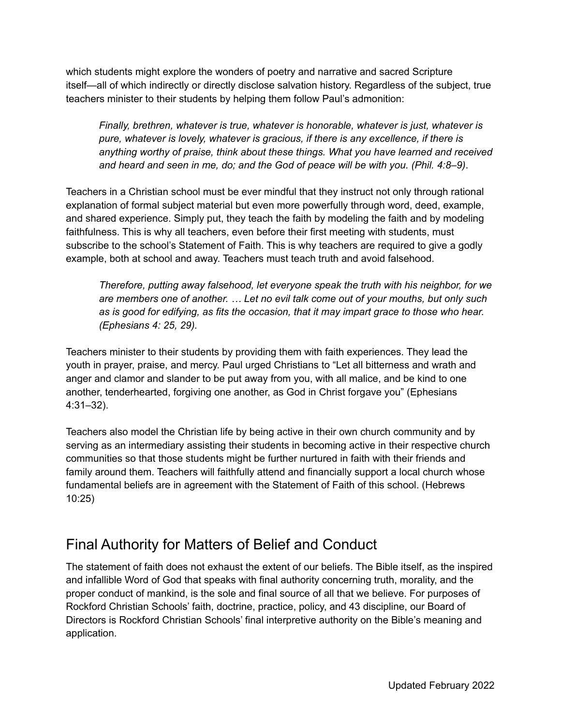which students might explore the wonders of poetry and narrative and sacred Scripture itself—all of which indirectly or directly disclose salvation history. Regardless of the subject, true teachers minister to their students by helping them follow Paul's admonition:

*Finally, brethren, whatever is true, whatever is honorable, whatever is just, whatever is pure, whatever is lovely, whatever is gracious, if there is any excellence, if there is anything worthy of praise, think about these things. What you have learned and received and heard and seen in me, do; and the God of peace will be with you. (Phil. 4:8–9)*.

Teachers in a Christian school must be ever mindful that they instruct not only through rational explanation of formal subject material but even more powerfully through word, deed, example, and shared experience. Simply put, they teach the faith by modeling the faith and by modeling faithfulness. This is why all teachers, even before their first meeting with students, must subscribe to the school's Statement of Faith. This is why teachers are required to give a godly example, both at school and away. Teachers must teach truth and avoid falsehood.

*Therefore, putting away falsehood, let everyone speak the truth with his neighbor, for we are members one of another. … Let no evil talk come out of your mouths, but only such as is good for edifying, as fits the occasion, that it may impart grace to those who hear. (Ephesians 4: 25, 29).*

Teachers minister to their students by providing them with faith experiences. They lead the youth in prayer, praise, and mercy. Paul urged Christians to "Let all bitterness and wrath and anger and clamor and slander to be put away from you, with all malice, and be kind to one another, tenderhearted, forgiving one another, as God in Christ forgave you" (Ephesians 4:31–32).

Teachers also model the Christian life by being active in their own church community and by serving as an intermediary assisting their students in becoming active in their respective church communities so that those students might be further nurtured in faith with their friends and family around them. Teachers will faithfully attend and financially support a local church whose fundamental beliefs are in agreement with the Statement of Faith of this school. (Hebrews 10:25)

# Final Authority for Matters of Belief and Conduct

The statement of faith does not exhaust the extent of our beliefs. The Bible itself, as the inspired and infallible Word of God that speaks with final authority concerning truth, morality, and the proper conduct of mankind, is the sole and final source of all that we believe. For purposes of Rockford Christian Schools' faith, doctrine, practice, policy, and 43 discipline, our Board of Directors is Rockford Christian Schools' final interpretive authority on the Bible's meaning and application.